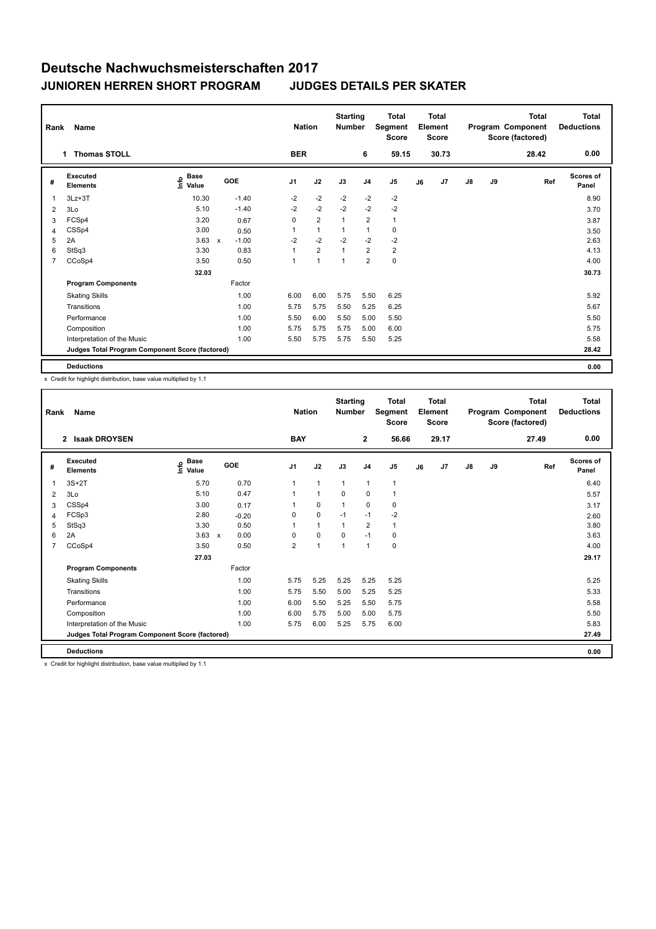| Rank           | Name                                            |                                      |                         | <b>Nation</b>  |                | <b>Starting</b><br><b>Number</b> |                | <b>Total</b><br>Segment<br><b>Score</b> |    | Total<br>Element<br><b>Score</b> |               |    | <b>Total</b><br>Program Component<br>Score (factored) | <b>Total</b><br><b>Deductions</b> |
|----------------|-------------------------------------------------|--------------------------------------|-------------------------|----------------|----------------|----------------------------------|----------------|-----------------------------------------|----|----------------------------------|---------------|----|-------------------------------------------------------|-----------------------------------|
|                | <b>Thomas STOLL</b><br>1                        |                                      |                         | <b>BER</b>     |                |                                  | 6              | 59.15                                   |    | 30.73                            |               |    | 28.42                                                 | 0.00                              |
| #              | Executed<br><b>Elements</b>                     | Base<br>e <sup>Base</sup><br>⊆ Value | GOE                     | J <sub>1</sub> | J2             | J3                               | J <sub>4</sub> | J <sub>5</sub>                          | J6 | J7                               | $\mathsf{J}8$ | J9 | Ref                                                   | <b>Scores of</b><br>Panel         |
| 1              | $3Lz + 3T$                                      | 10.30                                | $-1.40$                 | $-2$           | $-2$           | $-2$                             | $-2$           | $-2$                                    |    |                                  |               |    |                                                       | 8.90                              |
| $\overline{2}$ | 3Lo                                             | 5.10                                 | $-1.40$                 | $-2$           | $-2$           | $-2$                             | $-2$           | $-2$                                    |    |                                  |               |    |                                                       | 3.70                              |
| 3              | FCSp4                                           | 3.20                                 | 0.67                    | 0              | $\overline{2}$ | $\mathbf{1}$                     | $\overline{2}$ | $\mathbf{1}$                            |    |                                  |               |    |                                                       | 3.87                              |
| 4              | CSSp4                                           | 3.00                                 | 0.50                    | 1              | $\mathbf{1}$   | $\mathbf{1}$                     | 1              | 0                                       |    |                                  |               |    |                                                       | 3.50                              |
| 5              | 2A                                              | 3.63                                 | $-1.00$<br>$\mathsf{x}$ | $-2$           | $-2$           | $-2$                             | $-2$           | $-2$                                    |    |                                  |               |    |                                                       | 2.63                              |
| 6              | StSq3                                           | 3.30                                 | 0.83                    | 1              | $\overline{2}$ | $\mathbf{1}$                     | $\overline{2}$ | $\overline{2}$                          |    |                                  |               |    |                                                       | 4.13                              |
| $\overline{7}$ | CCoSp4                                          | 3.50                                 | 0.50                    | 1              | $\mathbf{1}$   | $\mathbf{1}$                     | $\overline{2}$ | $\pmb{0}$                               |    |                                  |               |    |                                                       | 4.00                              |
|                |                                                 | 32.03                                |                         |                |                |                                  |                |                                         |    |                                  |               |    |                                                       | 30.73                             |
|                | <b>Program Components</b>                       |                                      | Factor                  |                |                |                                  |                |                                         |    |                                  |               |    |                                                       |                                   |
|                | <b>Skating Skills</b>                           |                                      | 1.00                    | 6.00           | 6.00           | 5.75                             | 5.50           | 6.25                                    |    |                                  |               |    |                                                       | 5.92                              |
|                | Transitions                                     |                                      | 1.00                    | 5.75           | 5.75           | 5.50                             | 5.25           | 6.25                                    |    |                                  |               |    |                                                       | 5.67                              |
|                | Performance                                     |                                      | 1.00                    | 5.50           | 6.00           | 5.50                             | 5.00           | 5.50                                    |    |                                  |               |    |                                                       | 5.50                              |
|                | Composition                                     |                                      | 1.00                    | 5.75           | 5.75           | 5.75                             | 5.00           | 6.00                                    |    |                                  |               |    |                                                       | 5.75                              |
|                | Interpretation of the Music                     |                                      | 1.00                    | 5.50           | 5.75           | 5.75                             | 5.50           | 5.25                                    |    |                                  |               |    |                                                       | 5.58                              |
|                | Judges Total Program Component Score (factored) |                                      |                         |                |                |                                  |                |                                         |    |                                  |               |    |                                                       | 28.42                             |
|                | <b>Deductions</b>                               |                                      |                         |                |                |                                  |                |                                         |    |                                  |               |    |                                                       | 0.00                              |

x Credit for highlight distribution, base value multiplied by 1.1

| Rank           | Name                                            |                                  |              |         |                | <b>Nation</b>  | <b>Starting</b><br><b>Number</b> |                | <b>Total</b><br>Segment<br><b>Score</b> |    | <b>Total</b><br>Element<br><b>Score</b> |               |    | <b>Total</b><br>Program Component<br>Score (factored) | <b>Total</b><br><b>Deductions</b> |
|----------------|-------------------------------------------------|----------------------------------|--------------|---------|----------------|----------------|----------------------------------|----------------|-----------------------------------------|----|-----------------------------------------|---------------|----|-------------------------------------------------------|-----------------------------------|
|                | <b>Isaak DROYSEN</b><br>$\mathbf{2}$            |                                  |              |         | <b>BAY</b>     |                |                                  | $\mathbf{2}$   | 56.66                                   |    | 29.17                                   |               |    | 27.49                                                 | 0.00                              |
| #              | Executed<br><b>Elements</b>                     | <b>Base</b><br>o Base<br>⊆ Value | GOE          |         | J <sub>1</sub> | J2             | J3                               | J <sub>4</sub> | J <sub>5</sub>                          | J6 | J7                                      | $\mathsf{J}8$ | J9 | Ref                                                   | <b>Scores of</b><br>Panel         |
| 1              | $3S+2T$                                         | 5.70                             |              | 0.70    | $\mathbf{1}$   | $\overline{1}$ | $\overline{1}$                   | $\overline{1}$ | $\mathbf{1}$                            |    |                                         |               |    |                                                       | 6.40                              |
| 2              | 3Lo                                             | 5.10                             |              | 0.47    | 1              | $\overline{1}$ | 0                                | $\mathbf 0$    | $\mathbf{1}$                            |    |                                         |               |    |                                                       | 5.57                              |
| 3              | CSSp4                                           | 3.00                             |              | 0.17    |                | $\mathbf 0$    | $\mathbf{1}$                     | $\mathbf 0$    | 0                                       |    |                                         |               |    |                                                       | 3.17                              |
| $\overline{4}$ | FCSp3                                           | 2.80                             |              | $-0.20$ | $\Omega$       | $\mathbf 0$    | $-1$                             | $-1$           | $-2$                                    |    |                                         |               |    |                                                       | 2.60                              |
| 5              | StSq3                                           | 3.30                             |              | 0.50    | 1              | $\overline{1}$ | $\overline{1}$                   | $\overline{2}$ | $\mathbf{1}$                            |    |                                         |               |    |                                                       | 3.80                              |
| 6              | 2A                                              | 3.63                             | $\mathsf{x}$ | 0.00    | 0              | 0              | 0                                | $-1$           | 0                                       |    |                                         |               |    |                                                       | 3.63                              |
| $\overline{7}$ | CCoSp4                                          | 3.50                             |              | 0.50    | $\overline{2}$ | $\overline{1}$ | $\overline{1}$                   | $\overline{1}$ | $\pmb{0}$                               |    |                                         |               |    |                                                       | 4.00                              |
|                |                                                 | 27.03                            |              |         |                |                |                                  |                |                                         |    |                                         |               |    |                                                       | 29.17                             |
|                | <b>Program Components</b>                       |                                  |              | Factor  |                |                |                                  |                |                                         |    |                                         |               |    |                                                       |                                   |
|                | <b>Skating Skills</b>                           |                                  |              | 1.00    | 5.75           | 5.25           | 5.25                             | 5.25           | 5.25                                    |    |                                         |               |    |                                                       | 5.25                              |
|                | Transitions                                     |                                  |              | 1.00    | 5.75           | 5.50           | 5.00                             | 5.25           | 5.25                                    |    |                                         |               |    |                                                       | 5.33                              |
|                | Performance                                     |                                  |              | 1.00    | 6.00           | 5.50           | 5.25                             | 5.50           | 5.75                                    |    |                                         |               |    |                                                       | 5.58                              |
|                | Composition                                     |                                  |              | 1.00    | 6.00           | 5.75           | 5.00                             | 5.00           | 5.75                                    |    |                                         |               |    |                                                       | 5.50                              |
|                | Interpretation of the Music                     |                                  |              | 1.00    | 5.75           | 6.00           | 5.25                             | 5.75           | 6.00                                    |    |                                         |               |    |                                                       | 5.83                              |
|                | Judges Total Program Component Score (factored) |                                  |              |         |                |                |                                  |                |                                         |    |                                         |               |    |                                                       | 27.49                             |
|                | <b>Deductions</b>                               |                                  |              |         |                |                |                                  |                |                                         |    |                                         |               |    |                                                       | 0.00                              |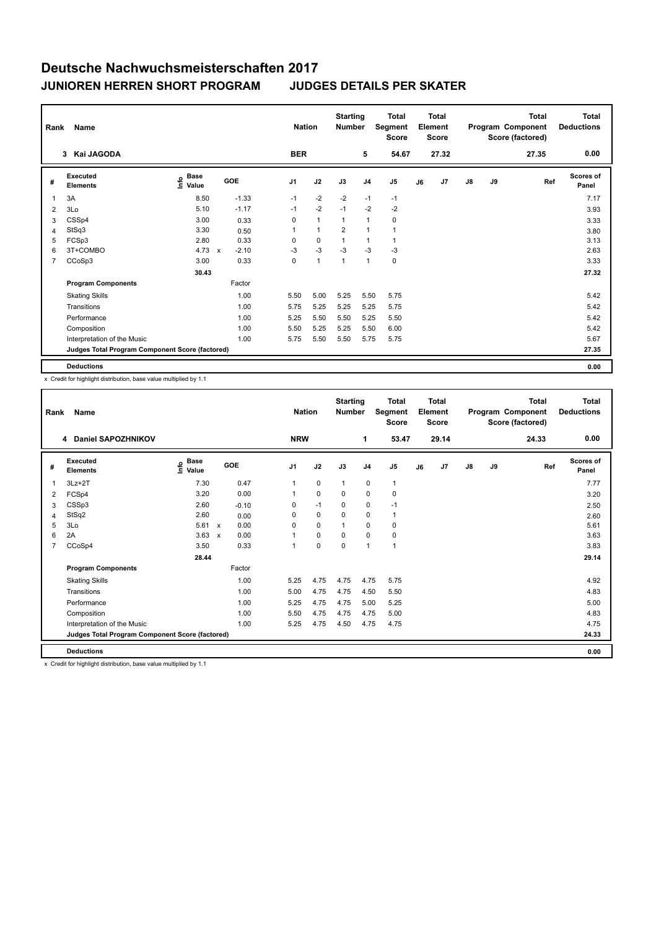| Rank           | Name                                            |                                             |              |         | <b>Nation</b> |              | <b>Starting</b><br><b>Number</b> |                | <b>Total</b><br>Segment<br><b>Score</b> |    | <b>Total</b><br>Element<br><b>Score</b> |               |    | <b>Total</b><br>Program Component<br>Score (factored) | Total<br><b>Deductions</b> |
|----------------|-------------------------------------------------|---------------------------------------------|--------------|---------|---------------|--------------|----------------------------------|----------------|-----------------------------------------|----|-----------------------------------------|---------------|----|-------------------------------------------------------|----------------------------|
|                | 3 Kai JAGODA                                    |                                             |              |         | <b>BER</b>    |              |                                  | 5              | 54.67                                   |    | 27.32                                   |               |    | 27.35                                                 | 0.00                       |
| #              | Executed<br><b>Elements</b>                     | <b>Base</b><br>e <sup>Base</sup><br>⊆ Value | GOE          |         | J1            | J2           | J3                               | J <sub>4</sub> | J <sub>5</sub>                          | J6 | J7                                      | $\mathsf{J}8$ | J9 | Ref                                                   | Scores of<br>Panel         |
| 1              | 3A                                              | 8.50                                        |              | $-1.33$ | $-1$          | $-2$         | $-2$                             | $-1$           | $-1$                                    |    |                                         |               |    |                                                       | 7.17                       |
| 2              | 3Lo                                             | 5.10                                        |              | $-1.17$ | $-1$          | $-2$         | $-1$                             | $-2$           | $-2$                                    |    |                                         |               |    |                                                       | 3.93                       |
| 3              | CSSp4                                           | 3.00                                        |              | 0.33    | 0             | $\mathbf{1}$ | $\mathbf{1}$                     | $\mathbf{1}$   | 0                                       |    |                                         |               |    |                                                       | 3.33                       |
| 4              | StSq3                                           | 3.30                                        |              | 0.50    | $\mathbf{1}$  | $\mathbf{1}$ | $\overline{2}$                   | $\overline{1}$ | $\mathbf{1}$                            |    |                                         |               |    |                                                       | 3.80                       |
| 5              | FCSp3                                           | 2.80                                        |              | 0.33    | 0             | $\mathbf 0$  | 1                                | $\overline{1}$ | 1                                       |    |                                         |               |    |                                                       | 3.13                       |
| 6              | 3T+COMBO                                        | 4.73                                        | $\mathbf{x}$ | $-2.10$ | $-3$          | $-3$         | $-3$                             | $-3$           | $-3$                                    |    |                                         |               |    |                                                       | 2.63                       |
| $\overline{7}$ | CCoSp3                                          | 3.00                                        |              | 0.33    | 0             | $\mathbf{1}$ | $\mathbf{1}$                     | $\overline{1}$ | $\pmb{0}$                               |    |                                         |               |    |                                                       | 3.33                       |
|                |                                                 | 30.43                                       |              |         |               |              |                                  |                |                                         |    |                                         |               |    |                                                       | 27.32                      |
|                | <b>Program Components</b>                       |                                             |              | Factor  |               |              |                                  |                |                                         |    |                                         |               |    |                                                       |                            |
|                | <b>Skating Skills</b>                           |                                             |              | 1.00    | 5.50          | 5.00         | 5.25                             | 5.50           | 5.75                                    |    |                                         |               |    |                                                       | 5.42                       |
|                | Transitions                                     |                                             |              | 1.00    | 5.75          | 5.25         | 5.25                             | 5.25           | 5.75                                    |    |                                         |               |    |                                                       | 5.42                       |
|                | Performance                                     |                                             |              | 1.00    | 5.25          | 5.50         | 5.50                             | 5.25           | 5.50                                    |    |                                         |               |    |                                                       | 5.42                       |
|                | Composition                                     |                                             |              | 1.00    | 5.50          | 5.25         | 5.25                             | 5.50           | 6.00                                    |    |                                         |               |    |                                                       | 5.42                       |
|                | Interpretation of the Music                     |                                             |              | 1.00    | 5.75          | 5.50         | 5.50                             | 5.75           | 5.75                                    |    |                                         |               |    |                                                       | 5.67                       |
|                | Judges Total Program Component Score (factored) |                                             |              |         |               |              |                                  |                |                                         |    |                                         |               |    |                                                       | 27.35                      |
|                | <b>Deductions</b>                               |                                             |              |         |               |              |                                  |                |                                         |    |                                         |               |    |                                                       | 0.00                       |

x Credit for highlight distribution, base value multiplied by 1.1

| Rank           | Name                                            |                              |                           |         |                | <b>Nation</b> | <b>Starting</b><br><b>Number</b> |                | <b>Total</b><br>Segment<br><b>Score</b> |    | <b>Total</b><br>Element<br><b>Score</b> |               |    | <b>Total</b><br>Program Component<br>Score (factored) | <b>Total</b><br><b>Deductions</b> |
|----------------|-------------------------------------------------|------------------------------|---------------------------|---------|----------------|---------------|----------------------------------|----------------|-----------------------------------------|----|-----------------------------------------|---------------|----|-------------------------------------------------------|-----------------------------------|
|                | Daniel SAPOZHNIKOV<br>4                         |                              |                           |         | <b>NRW</b>     |               |                                  | 1              | 53.47                                   |    | 29.14                                   |               |    | 24.33                                                 | 0.00                              |
| #              | Executed<br><b>Elements</b>                     | <b>Base</b><br>١πfo<br>Value |                           | GOE     | J <sub>1</sub> | J2            | J3                               | J <sub>4</sub> | J <sub>5</sub>                          | J6 | J7                                      | $\mathsf{J}8$ | J9 | Ref                                                   | <b>Scores of</b><br>Panel         |
| $\mathbf{1}$   | $3Lz + 2T$                                      | 7.30                         |                           | 0.47    | $\mathbf{1}$   | $\mathbf 0$   | $\mathbf{1}$                     | $\mathbf 0$    | $\mathbf{1}$                            |    |                                         |               |    |                                                       | 7.77                              |
| 2              | FCSp4                                           | 3.20                         |                           | 0.00    | 1              | $\mathbf 0$   | 0                                | 0              | $\pmb{0}$                               |    |                                         |               |    |                                                       | 3.20                              |
| 3              | CSSp3                                           | 2.60                         |                           | $-0.10$ | 0              | $-1$          | 0                                | 0              | $-1$                                    |    |                                         |               |    |                                                       | 2.50                              |
| 4              | StSq2                                           | 2.60                         |                           | 0.00    | $\Omega$       | $\Omega$      | $\Omega$                         | $\mathbf 0$    | $\mathbf{1}$                            |    |                                         |               |    |                                                       | 2.60                              |
| 5              | 3Lo                                             | 5.61                         | $\mathsf{x}$              | 0.00    | 0              | $\mathbf 0$   | 1                                | $\mathbf 0$    | $\pmb{0}$                               |    |                                         |               |    |                                                       | 5.61                              |
| 6              | 2A                                              | 3.63                         | $\boldsymbol{\mathsf{x}}$ | 0.00    |                | 0             | $\Omega$                         | 0              | 0                                       |    |                                         |               |    |                                                       | 3.63                              |
| $\overline{7}$ | CCoSp4                                          | 3.50                         |                           | 0.33    | 1              | $\mathbf 0$   | 0                                | $\overline{1}$ | $\mathbf{1}$                            |    |                                         |               |    |                                                       | 3.83                              |
|                |                                                 | 28.44                        |                           |         |                |               |                                  |                |                                         |    |                                         |               |    |                                                       | 29.14                             |
|                | <b>Program Components</b>                       |                              |                           | Factor  |                |               |                                  |                |                                         |    |                                         |               |    |                                                       |                                   |
|                | <b>Skating Skills</b>                           |                              |                           | 1.00    | 5.25           | 4.75          | 4.75                             | 4.75           | 5.75                                    |    |                                         |               |    |                                                       | 4.92                              |
|                | Transitions                                     |                              |                           | 1.00    | 5.00           | 4.75          | 4.75                             | 4.50           | 5.50                                    |    |                                         |               |    |                                                       | 4.83                              |
|                | Performance                                     |                              |                           | 1.00    | 5.25           | 4.75          | 4.75                             | 5.00           | 5.25                                    |    |                                         |               |    |                                                       | 5.00                              |
|                | Composition                                     |                              |                           | 1.00    | 5.50           | 4.75          | 4.75                             | 4.75           | 5.00                                    |    |                                         |               |    |                                                       | 4.83                              |
|                | Interpretation of the Music                     |                              |                           | 1.00    | 5.25           | 4.75          | 4.50                             | 4.75           | 4.75                                    |    |                                         |               |    |                                                       | 4.75                              |
|                | Judges Total Program Component Score (factored) |                              |                           |         |                |               |                                  |                |                                         |    |                                         |               |    |                                                       | 24.33                             |
|                | <b>Deductions</b>                               |                              |                           |         |                |               |                                  |                |                                         |    |                                         |               |    |                                                       | 0.00                              |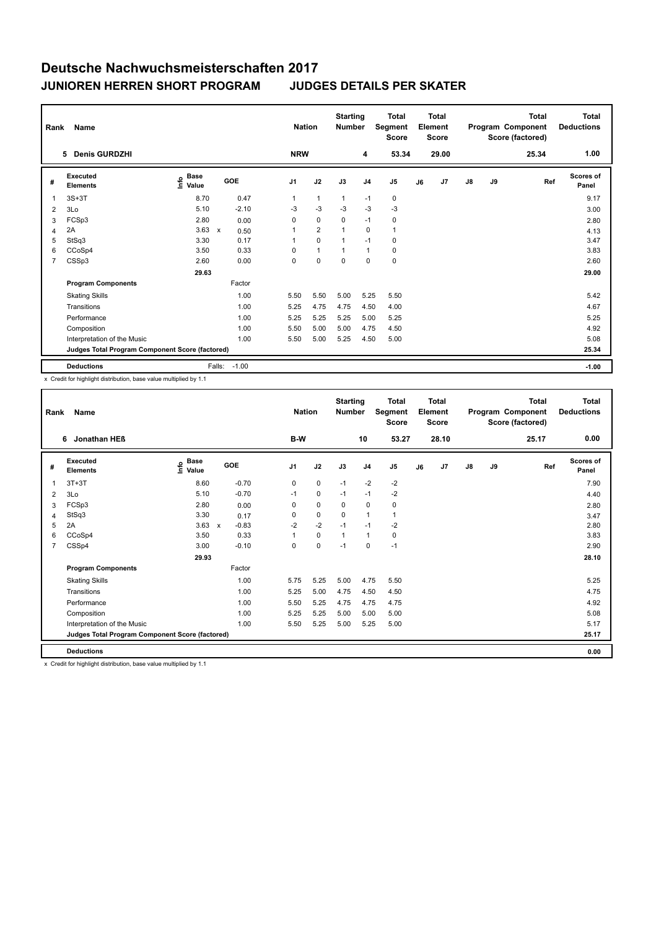| Rank           | Name                                            |                                             |                      | <b>Nation</b>  |                | <b>Starting</b><br><b>Number</b> |                | <b>Total</b><br>Segment<br><b>Score</b> |    | Total<br>Element<br><b>Score</b> |    |    | <b>Total</b><br>Program Component<br>Score (factored) | Total<br><b>Deductions</b> |
|----------------|-------------------------------------------------|---------------------------------------------|----------------------|----------------|----------------|----------------------------------|----------------|-----------------------------------------|----|----------------------------------|----|----|-------------------------------------------------------|----------------------------|
|                | 5 Denis GURDZHI                                 |                                             |                      | <b>NRW</b>     |                |                                  | 4              | 53.34                                   |    | 29.00                            |    |    | 25.34                                                 | 1.00                       |
| #              | Executed<br><b>Elements</b>                     | <b>Base</b><br>e <sup>Base</sup><br>⊆ Value | GOE                  | J <sub>1</sub> | J2             | J3                               | J <sub>4</sub> | J <sub>5</sub>                          | J6 | J7                               | J8 | J9 | Ref                                                   | <b>Scores of</b><br>Panel  |
| 1              | $3S+3T$                                         | 8.70                                        | 0.47                 | $\mathbf{1}$   | $\mathbf{1}$   | $\mathbf{1}$                     | $-1$           | 0                                       |    |                                  |    |    |                                                       | 9.17                       |
| 2              | 3Lo                                             | 5.10                                        | $-2.10$              | $-3$           | $-3$           | $-3$                             | $-3$           | $-3$                                    |    |                                  |    |    |                                                       | 3.00                       |
| 3              | FCSp3                                           | 2.80                                        | 0.00                 | 0              | $\mathbf 0$    | $\mathbf 0$                      | $-1$           | 0                                       |    |                                  |    |    |                                                       | 2.80                       |
| 4              | 2A                                              | 3.63                                        | $\mathsf{x}$<br>0.50 | 1              | $\overline{2}$ | 1                                | 0              | $\mathbf{1}$                            |    |                                  |    |    |                                                       | 4.13                       |
| 5              | StSq3                                           | 3.30                                        | 0.17                 | $\mathbf{1}$   | $\mathbf 0$    | $\overline{1}$                   | $-1$           | 0                                       |    |                                  |    |    |                                                       | 3.47                       |
| 6              | CCoSp4                                          | 3.50                                        | 0.33                 | 0              | $\mathbf{1}$   | 1                                | $\overline{1}$ | $\mathbf 0$                             |    |                                  |    |    |                                                       | 3.83                       |
| $\overline{7}$ | CSSp3                                           | 2.60                                        | 0.00                 | 0              | 0              | $\mathbf 0$                      | 0              | $\pmb{0}$                               |    |                                  |    |    |                                                       | 2.60                       |
|                |                                                 | 29.63                                       |                      |                |                |                                  |                |                                         |    |                                  |    |    |                                                       | 29.00                      |
|                | <b>Program Components</b>                       |                                             | Factor               |                |                |                                  |                |                                         |    |                                  |    |    |                                                       |                            |
|                | <b>Skating Skills</b>                           |                                             | 1.00                 | 5.50           | 5.50           | 5.00                             | 5.25           | 5.50                                    |    |                                  |    |    |                                                       | 5.42                       |
|                | Transitions                                     |                                             | 1.00                 | 5.25           | 4.75           | 4.75                             | 4.50           | 4.00                                    |    |                                  |    |    |                                                       | 4.67                       |
|                | Performance                                     |                                             | 1.00                 | 5.25           | 5.25           | 5.25                             | 5.00           | 5.25                                    |    |                                  |    |    |                                                       | 5.25                       |
|                | Composition                                     |                                             | 1.00                 | 5.50           | 5.00           | 5.00                             | 4.75           | 4.50                                    |    |                                  |    |    |                                                       | 4.92                       |
|                | Interpretation of the Music                     |                                             | 1.00                 | 5.50           | 5.00           | 5.25                             | 4.50           | 5.00                                    |    |                                  |    |    |                                                       | 5.08                       |
|                | Judges Total Program Component Score (factored) |                                             |                      |                |                |                                  |                |                                         |    |                                  |    |    |                                                       | 25.34                      |
|                | <b>Deductions</b>                               |                                             | $-1.00$<br>Falls:    |                |                |                                  |                |                                         |    |                                  |    |    |                                                       | $-1.00$                    |

x Credit for highlight distribution, base value multiplied by 1.1

| Rank           | <b>Name</b>                                     |                              |              |         | <b>Nation</b>  |             | <b>Starting</b><br><b>Number</b> |                | <b>Total</b><br>Segment<br><b>Score</b> |    | Total<br>Element<br><b>Score</b> |               |    | Total<br>Program Component<br>Score (factored) | Total<br><b>Deductions</b> |
|----------------|-------------------------------------------------|------------------------------|--------------|---------|----------------|-------------|----------------------------------|----------------|-----------------------------------------|----|----------------------------------|---------------|----|------------------------------------------------|----------------------------|
|                | Jonathan HEB<br>6                               |                              |              |         | B-W            |             |                                  | 10             | 53.27                                   |    | 28.10                            |               |    | 25.17                                          | 0.00                       |
| #              | Executed<br><b>Elements</b>                     | <b>Base</b><br>Info<br>Value | GOE          |         | J <sub>1</sub> | J2          | J3                               | J <sub>4</sub> | J <sub>5</sub>                          | J6 | J7                               | $\mathsf{J}8$ | J9 | Ref                                            | <b>Scores of</b><br>Panel  |
| 1              | $3T+3T$                                         | 8.60                         |              | $-0.70$ | 0              | $\mathbf 0$ | $-1$                             | $-2$           | $-2$                                    |    |                                  |               |    |                                                | 7.90                       |
| 2              | 3Lo                                             | 5.10                         |              | $-0.70$ | $-1$           | $\mathbf 0$ | $-1$                             | $-1$           | $-2$                                    |    |                                  |               |    |                                                | 4.40                       |
| 3              | FCSp3                                           | 2.80                         |              | 0.00    | 0              | $\mathbf 0$ | 0                                | 0              | 0                                       |    |                                  |               |    |                                                | 2.80                       |
| $\overline{4}$ | StSq3                                           | 3.30                         |              | 0.17    | 0              | $\mathbf 0$ | 0                                | $\overline{1}$ | $\mathbf{1}$                            |    |                                  |               |    |                                                | 3.47                       |
| 5              | 2A                                              | 3.63                         | $\mathsf{x}$ | $-0.83$ | $-2$           | $-2$        | $-1$                             | $-1$           | $-2$                                    |    |                                  |               |    |                                                | 2.80                       |
| 6              | CCoSp4                                          | 3.50                         |              | 0.33    | 1              | $\mathbf 0$ | $\overline{1}$                   | $\overline{1}$ | 0                                       |    |                                  |               |    |                                                | 3.83                       |
| $\overline{7}$ | CSSp4                                           | 3.00                         |              | $-0.10$ | 0              | $\mathbf 0$ | $-1$                             | 0              | $-1$                                    |    |                                  |               |    |                                                | 2.90                       |
|                |                                                 | 29.93                        |              |         |                |             |                                  |                |                                         |    |                                  |               |    |                                                | 28.10                      |
|                | <b>Program Components</b>                       |                              |              | Factor  |                |             |                                  |                |                                         |    |                                  |               |    |                                                |                            |
|                | <b>Skating Skills</b>                           |                              |              | 1.00    | 5.75           | 5.25        | 5.00                             | 4.75           | 5.50                                    |    |                                  |               |    |                                                | 5.25                       |
|                | Transitions                                     |                              |              | 1.00    | 5.25           | 5.00        | 4.75                             | 4.50           | 4.50                                    |    |                                  |               |    |                                                | 4.75                       |
|                | Performance                                     |                              |              | 1.00    | 5.50           | 5.25        | 4.75                             | 4.75           | 4.75                                    |    |                                  |               |    |                                                | 4.92                       |
|                | Composition                                     |                              |              | 1.00    | 5.25           | 5.25        | 5.00                             | 5.00           | 5.00                                    |    |                                  |               |    |                                                | 5.08                       |
|                | Interpretation of the Music                     |                              |              | 1.00    | 5.50           | 5.25        | 5.00                             | 5.25           | 5.00                                    |    |                                  |               |    |                                                | 5.17                       |
|                | Judges Total Program Component Score (factored) |                              |              |         |                |             |                                  |                |                                         |    |                                  |               |    |                                                | 25.17                      |
|                | <b>Deductions</b>                               |                              |              |         |                |             |                                  |                |                                         |    |                                  |               |    |                                                | 0.00                       |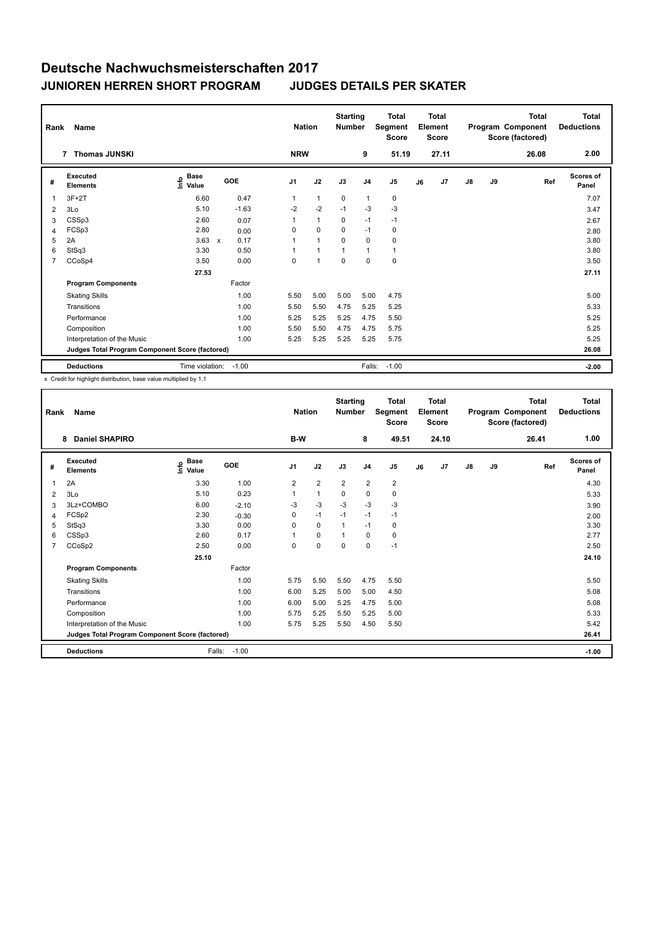| Rank           | Name<br><b>Thomas JUNSKI</b>                    |                                             |              |         | <b>Nation</b><br><b>NRW</b> |              | <b>Starting</b><br><b>Number</b> |                | <b>Total</b><br>Segment<br><b>Score</b> |    | <b>Total</b><br>Element<br><b>Score</b> |               |    | <b>Total</b><br>Program Component<br>Score (factored) | <b>Total</b><br><b>Deductions</b><br>2.00 |
|----------------|-------------------------------------------------|---------------------------------------------|--------------|---------|-----------------------------|--------------|----------------------------------|----------------|-----------------------------------------|----|-----------------------------------------|---------------|----|-------------------------------------------------------|-------------------------------------------|
|                | 7                                               |                                             |              |         |                             |              |                                  | 9              | 51.19                                   |    | 27.11                                   |               |    | 26.08                                                 |                                           |
| #              | Executed<br><b>Elements</b>                     | <b>Base</b><br>е <sup>Ваѕе</sup><br>⊆ Value | GOE          |         | J <sub>1</sub>              | J2           | J3                               | J <sub>4</sub> | J <sub>5</sub>                          | J6 | J7                                      | $\mathsf{J}8$ | J9 | Ref                                                   | <b>Scores of</b><br>Panel                 |
| 1              | $3F+2T$                                         | 6.60                                        |              | 0.47    | $\mathbf{1}$                | $\mathbf{1}$ | 0                                | $\overline{1}$ | 0                                       |    |                                         |               |    |                                                       | 7.07                                      |
| 2              | 3Lo                                             | 5.10                                        |              | $-1.63$ | $-2$                        | $-2$         | $-1$                             | $-3$           | $-3$                                    |    |                                         |               |    |                                                       | 3.47                                      |
| 3              | CSSp3                                           | 2.60                                        |              | 0.07    | $\mathbf{1}$                | $\mathbf{1}$ | $\Omega$                         | $-1$           | $-1$                                    |    |                                         |               |    |                                                       | 2.67                                      |
| 4              | FCSp3                                           | 2.80                                        |              | 0.00    | 0                           | $\Omega$     | $\Omega$                         | $-1$           | 0                                       |    |                                         |               |    |                                                       | 2.80                                      |
| 5              | 2A                                              | 3.63                                        | $\mathsf{x}$ | 0.17    | 1                           | $\mathbf{1}$ | $\mathbf 0$                      | $\mathbf 0$    | $\mathbf 0$                             |    |                                         |               |    |                                                       | 3.80                                      |
| 6              | StSq3                                           | 3.30                                        |              | 0.50    | $\mathbf{1}$                | $\mathbf{1}$ | $\mathbf{1}$                     | $\mathbf{1}$   | $\mathbf{1}$                            |    |                                         |               |    |                                                       | 3.80                                      |
| $\overline{7}$ | CCoSp4                                          | 3.50                                        |              | 0.00    | 0                           | 1            | $\mathbf 0$                      | $\Omega$       | $\mathbf 0$                             |    |                                         |               |    |                                                       | 3.50                                      |
|                |                                                 | 27.53                                       |              |         |                             |              |                                  |                |                                         |    |                                         |               |    |                                                       | 27.11                                     |
|                | <b>Program Components</b>                       |                                             | Factor       |         |                             |              |                                  |                |                                         |    |                                         |               |    |                                                       |                                           |
|                | <b>Skating Skills</b>                           |                                             |              | 1.00    | 5.50                        | 5.00         | 5.00                             | 5.00           | 4.75                                    |    |                                         |               |    |                                                       | 5.00                                      |
|                | Transitions                                     |                                             |              | 1.00    | 5.50                        | 5.50         | 4.75                             | 5.25           | 5.25                                    |    |                                         |               |    |                                                       | 5.33                                      |
|                | Performance                                     |                                             |              | 1.00    | 5.25                        | 5.25         | 5.25                             | 4.75           | 5.50                                    |    |                                         |               |    |                                                       | 5.25                                      |
|                | Composition                                     |                                             |              | 1.00    | 5.50                        | 5.50         | 4.75                             | 4.75           | 5.75                                    |    |                                         |               |    |                                                       | 5.25                                      |
|                | Interpretation of the Music                     |                                             |              | 1.00    | 5.25                        | 5.25         | 5.25                             | 5.25           | 5.75                                    |    |                                         |               |    |                                                       | 5.25                                      |
|                | Judges Total Program Component Score (factored) |                                             |              |         |                             |              |                                  |                |                                         |    |                                         |               |    |                                                       | 26.08                                     |
|                | <b>Deductions</b>                               | Time violation:                             | $-1.00$      |         |                             |              |                                  | Falls:         | $-1.00$                                 |    |                                         |               |    |                                                       | $-2.00$                                   |

| Rank           | Name                                            |                              |         | <b>Nation</b>  |                | <b>Starting</b><br><b>Number</b> |                | <b>Total</b><br>Segment<br><b>Score</b> |    | Total<br>Element<br><b>Score</b> |               |    | <b>Total</b><br>Program Component<br>Score (factored) | Total<br><b>Deductions</b> |
|----------------|-------------------------------------------------|------------------------------|---------|----------------|----------------|----------------------------------|----------------|-----------------------------------------|----|----------------------------------|---------------|----|-------------------------------------------------------|----------------------------|
|                | <b>Daniel SHAPIRO</b><br>8                      |                              |         | B-W            |                |                                  | 8              | 49.51                                   |    | 24.10                            |               |    | 26.41                                                 | 1.00                       |
| #              | Executed<br><b>Elements</b>                     | <b>Base</b><br>lnfo<br>Value | GOE     | J <sub>1</sub> | J2             | J3                               | J <sub>4</sub> | J <sub>5</sub>                          | J6 | J7                               | $\mathsf{J}8$ | J9 | Ref                                                   | <b>Scores of</b><br>Panel  |
| 1              | 2A                                              | 3.30                         | 1.00    | 2              | $\overline{2}$ | $\overline{2}$                   | $\overline{2}$ | $\overline{2}$                          |    |                                  |               |    |                                                       | 4.30                       |
| 2              | 3Lo                                             | 5.10                         | 0.23    | $\mathbf{1}$   | $\overline{1}$ | $\mathbf 0$                      | $\mathbf 0$    | 0                                       |    |                                  |               |    |                                                       | 5.33                       |
| 3              | 3Lz+COMBO                                       | 6.00                         | $-2.10$ | -3             | $-3$           | $-3$                             | $-3$           | $-3$                                    |    |                                  |               |    |                                                       | 3.90                       |
| 4              | FCSp2                                           | 2.30                         | $-0.30$ | 0              | $-1$           | $-1$                             | $-1$           | $-1$                                    |    |                                  |               |    |                                                       | 2.00                       |
| 5              | StSq3                                           | 3.30                         | 0.00    | $\Omega$       | $\mathbf 0$    | $\mathbf{1}$                     | $-1$           | 0                                       |    |                                  |               |    |                                                       | 3.30                       |
| 6              | CSSp3                                           | 2.60                         | 0.17    | 1              | $\mathbf 0$    | 1                                | $\mathbf 0$    | $\pmb{0}$                               |    |                                  |               |    |                                                       | 2.77                       |
| $\overline{7}$ | CCoSp2                                          | 2.50                         | 0.00    | $\Omega$       | $\Omega$       | $\Omega$                         | $\Omega$       | $-1$                                    |    |                                  |               |    |                                                       | 2.50                       |
|                |                                                 | 25.10                        |         |                |                |                                  |                |                                         |    |                                  |               |    |                                                       | 24.10                      |
|                | <b>Program Components</b>                       |                              | Factor  |                |                |                                  |                |                                         |    |                                  |               |    |                                                       |                            |
|                | <b>Skating Skills</b>                           |                              | 1.00    | 5.75           | 5.50           | 5.50                             | 4.75           | 5.50                                    |    |                                  |               |    |                                                       | 5.50                       |
|                | Transitions                                     |                              | 1.00    | 6.00           | 5.25           | 5.00                             | 5.00           | 4.50                                    |    |                                  |               |    |                                                       | 5.08                       |
|                | Performance                                     |                              | 1.00    | 6.00           | 5.00           | 5.25                             | 4.75           | 5.00                                    |    |                                  |               |    |                                                       | 5.08                       |
|                | Composition                                     |                              | 1.00    | 5.75           | 5.25           | 5.50                             | 5.25           | 5.00                                    |    |                                  |               |    |                                                       | 5.33                       |
|                | Interpretation of the Music                     |                              | 1.00    | 5.75           | 5.25           | 5.50                             | 4.50           | 5.50                                    |    |                                  |               |    |                                                       | 5.42                       |
|                | Judges Total Program Component Score (factored) |                              |         |                |                |                                  |                |                                         |    |                                  |               |    |                                                       | 26.41                      |
|                | <b>Deductions</b>                               | Falls:                       | $-1.00$ |                |                |                                  |                |                                         |    |                                  |               |    |                                                       | $-1.00$                    |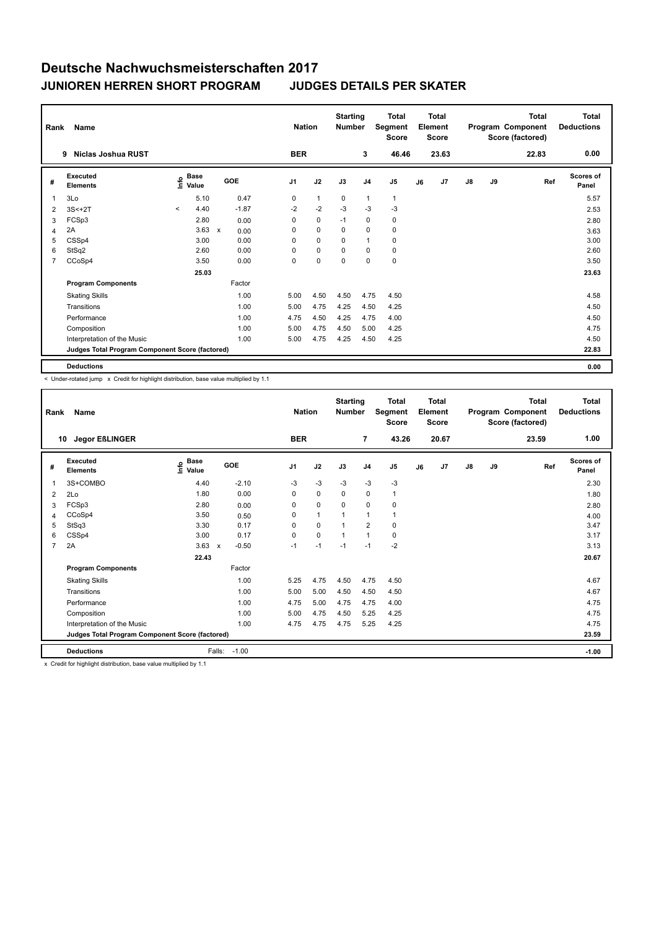| Rank           | Name                                            |                                             |                                   | <b>Nation</b>  |              | <b>Starting</b><br><b>Number</b> |                | <b>Total</b><br>Segment<br><b>Score</b> |    | <b>Total</b><br>Element<br>Score |    |    | <b>Total</b><br>Program Component<br>Score (factored) | <b>Total</b><br><b>Deductions</b> |
|----------------|-------------------------------------------------|---------------------------------------------|-----------------------------------|----------------|--------------|----------------------------------|----------------|-----------------------------------------|----|----------------------------------|----|----|-------------------------------------------------------|-----------------------------------|
|                | Niclas Joshua RUST<br>9                         |                                             |                                   | <b>BER</b>     |              |                                  | 3              | 46.46                                   |    | 23.63                            |    |    | 22.83                                                 | 0.00                              |
| #              | Executed<br><b>Elements</b>                     | <b>Base</b><br>e <sup>Base</sup><br>⊆ Value | GOE                               | J <sub>1</sub> | J2           | J3                               | J <sub>4</sub> | J <sub>5</sub>                          | J6 | J7                               | J8 | J9 | Ref                                                   | <b>Scores of</b><br>Panel         |
| 1              | 3Lo                                             | 5.10                                        | 0.47                              | 0              | $\mathbf{1}$ | $\mathbf 0$                      | $\mathbf{1}$   | $\mathbf{1}$                            |    |                                  |    |    |                                                       | 5.57                              |
| 2              | $3S<+2T$                                        | 4.40<br>$\prec$                             | $-1.87$                           | $-2$           | $-2$         | $-3$                             | $-3$           | $-3$                                    |    |                                  |    |    |                                                       | 2.53                              |
| 3              | FCSp3                                           | 2.80                                        | 0.00                              | 0              | $\mathbf 0$  | $-1$                             | 0              | 0                                       |    |                                  |    |    |                                                       | 2.80                              |
| 4              | 2A                                              | 3.63                                        | $\boldsymbol{\mathsf{x}}$<br>0.00 | 0              | $\mathbf 0$  | $\Omega$                         | 0              | $\mathbf 0$                             |    |                                  |    |    |                                                       | 3.63                              |
| 5              | CSSp4                                           | 3.00                                        | 0.00                              | 0              | $\mathbf 0$  | 0                                | $\overline{1}$ | 0                                       |    |                                  |    |    |                                                       | 3.00                              |
| 6              | StSq2                                           | 2.60                                        | 0.00                              | 0              | $\mathbf 0$  | $\Omega$                         | $\Omega$       | 0                                       |    |                                  |    |    |                                                       | 2.60                              |
| $\overline{7}$ | CCoSp4                                          | 3.50                                        | 0.00                              | 0              | 0            | 0                                | 0              | $\pmb{0}$                               |    |                                  |    |    |                                                       | 3.50                              |
|                |                                                 | 25.03                                       |                                   |                |              |                                  |                |                                         |    |                                  |    |    |                                                       | 23.63                             |
|                | <b>Program Components</b>                       |                                             | Factor                            |                |              |                                  |                |                                         |    |                                  |    |    |                                                       |                                   |
|                | <b>Skating Skills</b>                           |                                             | 1.00                              | 5.00           | 4.50         | 4.50                             | 4.75           | 4.50                                    |    |                                  |    |    |                                                       | 4.58                              |
|                | Transitions                                     |                                             | 1.00                              | 5.00           | 4.75         | 4.25                             | 4.50           | 4.25                                    |    |                                  |    |    |                                                       | 4.50                              |
|                | Performance                                     |                                             | 1.00                              | 4.75           | 4.50         | 4.25                             | 4.75           | 4.00                                    |    |                                  |    |    |                                                       | 4.50                              |
|                | Composition                                     |                                             | 1.00                              | 5.00           | 4.75         | 4.50                             | 5.00           | 4.25                                    |    |                                  |    |    |                                                       | 4.75                              |
|                | Interpretation of the Music                     |                                             | 1.00                              | 5.00           | 4.75         | 4.25                             | 4.50           | 4.25                                    |    |                                  |    |    |                                                       | 4.50                              |
|                | Judges Total Program Component Score (factored) |                                             |                                   |                |              |                                  |                |                                         |    |                                  |    |    |                                                       | 22.83                             |
|                | <b>Deductions</b>                               |                                             |                                   |                |              |                                  |                |                                         |    |                                  |    |    |                                                       | 0.00                              |

< Under-rotated jump x Credit for highlight distribution, base value multiplied by 1.1

| Rank           | Name                                            |                              |                           |            |                | <b>Nation</b> |              | <b>Starting</b><br><b>Number</b> |                | <b>Total</b><br>Segment<br><b>Score</b> |    | <b>Total</b><br>Element<br>Score |               |    | Total<br>Program Component<br>Score (factored) | Total<br><b>Deductions</b> |
|----------------|-------------------------------------------------|------------------------------|---------------------------|------------|----------------|---------------|--------------|----------------------------------|----------------|-----------------------------------------|----|----------------------------------|---------------|----|------------------------------------------------|----------------------------|
|                | <b>Jegor EßLINGER</b><br>10                     |                              |                           |            |                | <b>BER</b>    |              |                                  | $\overline{7}$ | 43.26                                   |    | 20.67                            |               |    | 23.59                                          | 1.00                       |
| #              | Executed<br><b>Elements</b>                     | <b>Base</b><br>lnfo<br>Value |                           | <b>GOE</b> | J <sub>1</sub> |               | J2           | J3                               | J <sub>4</sub> | J <sub>5</sub>                          | J6 | J7                               | $\mathsf{J}8$ | J9 | Ref                                            | <b>Scores of</b><br>Panel  |
| 1              | 3S+COMBO                                        | 4.40                         |                           | $-2.10$    | $-3$           |               | $-3$         | $-3$                             | $-3$           | $-3$                                    |    |                                  |               |    |                                                | 2.30                       |
| $\overline{2}$ | 2Lo                                             | 1.80                         |                           | 0.00       | 0              |               | $\mathbf 0$  | $\Omega$                         | 0              | $\mathbf{1}$                            |    |                                  |               |    |                                                | 1.80                       |
| 3              | FCSp3                                           | 2.80                         |                           | 0.00       | 0              |               | $\mathbf 0$  | 0                                | $\mathbf 0$    | 0                                       |    |                                  |               |    |                                                | 2.80                       |
| $\overline{4}$ | CCoSp4                                          | 3.50                         |                           | 0.50       | 0              |               | $\mathbf{1}$ |                                  | $\overline{1}$ | $\mathbf{1}$                            |    |                                  |               |    |                                                | 4.00                       |
| 5              | StSq3                                           | 3.30                         |                           | 0.17       | $\Omega$       |               | $\mathbf 0$  | $\overline{1}$                   | $\overline{2}$ | $\mathbf 0$                             |    |                                  |               |    |                                                | 3.47                       |
| 6              | CSSp4                                           | 3.00                         |                           | 0.17       | 0              |               | $\mathbf 0$  | $\mathbf 1$                      | $\overline{1}$ | $\mathbf 0$                             |    |                                  |               |    |                                                | 3.17                       |
| $\overline{7}$ | 2A                                              | 3.63                         | $\boldsymbol{\mathsf{x}}$ | $-0.50$    | $-1$           |               | $-1$         | $-1$                             | $-1$           | $-2$                                    |    |                                  |               |    |                                                | 3.13                       |
|                |                                                 | 22.43                        |                           |            |                |               |              |                                  |                |                                         |    |                                  |               |    |                                                | 20.67                      |
|                | <b>Program Components</b>                       |                              |                           | Factor     |                |               |              |                                  |                |                                         |    |                                  |               |    |                                                |                            |
|                | <b>Skating Skills</b>                           |                              |                           | 1.00       | 5.25           |               | 4.75         | 4.50                             | 4.75           | 4.50                                    |    |                                  |               |    |                                                | 4.67                       |
|                | Transitions                                     |                              |                           | 1.00       | 5.00           |               | 5.00         | 4.50                             | 4.50           | 4.50                                    |    |                                  |               |    |                                                | 4.67                       |
|                | Performance                                     |                              |                           | 1.00       | 4.75           |               | 5.00         | 4.75                             | 4.75           | 4.00                                    |    |                                  |               |    |                                                | 4.75                       |
|                | Composition                                     |                              |                           | 1.00       |                | 5.00          | 4.75         | 4.50                             | 5.25           | 4.25                                    |    |                                  |               |    |                                                | 4.75                       |
|                | Interpretation of the Music                     |                              |                           | 1.00       | 4.75           |               | 4.75         | 4.75                             | 5.25           | 4.25                                    |    |                                  |               |    |                                                | 4.75                       |
|                | Judges Total Program Component Score (factored) |                              |                           |            |                |               |              |                                  |                |                                         |    |                                  |               |    |                                                | 23.59                      |
|                | <b>Deductions</b>                               |                              | Falls:                    | $-1.00$    |                |               |              |                                  |                |                                         |    |                                  |               |    |                                                | $-1.00$                    |